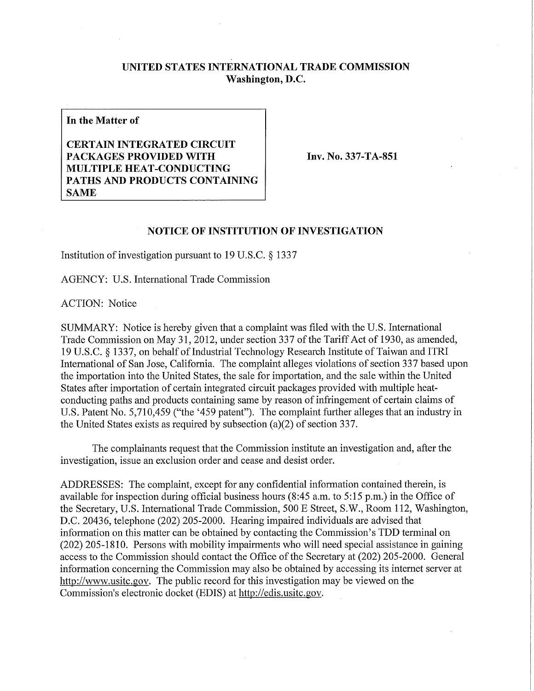## **UNITED STATES INTERNATIONAL TRADE COMMISSION Washington, D.C.**

**In the Matter of** 

**CERTAIN INTEGRATED CIRCUIT PACKAGES PROVIDED WITH MULTIPLE HEAT-CONDUCTING PATHS AND PRODUCTS CONTAINING SAME** 

**Inv. No. 337-TA-851** 

## **NOTICE OF INSTITUTION OF INVESTIGATION**

Institution of investigation pursuant to 19 U.S.C. § 1337

AGENCY: U.S. International Trade Commission

ACTION: Notice

SUMMARY: Notice is hereby given that a complaint was filed with the U.S. International Trade Commission on May 31, 2012, under section 337 of the Tariff Act of 1930, as amended, 19 U.S.C. § 1337, on behalf of Industrial Technology Research Institute of Taiwan and ITRI International of San Jose, California. The complaint alleges violations of section 337 based upon the importation into the United States, the sale for importation, and the sale within the United States after importation of certain integrated circuit packages provided with multiple heatconducting paths and products containing same by reason of infringement of certain claims of U.S. Patent No. 5,710,459 ("the '459 patent"). The complaint further alleges that an industry in the United States exists as required by subsection (a)(2) of section 337.

The complainants request that the Commission institute an investigation and, after the investigation, issue an exclusion order and cease and desist order.

ADDRESSES: The complaint, except for any confidential information contained therein, is available for inspection during official business hours (8:45 a.m. to 5:15 p.m.) in the Office of the Secretary, U.S. International Trade Commission, 500 E Street, S.W., Room 112, Washington, D.C. 20436, telephone (202) 205-2000. Hearing impaired individuals are advised that information on this matter can be obtained by contacting the Commission's TDD terminal on (202) 205-1810. Persons with mobility impairments who will need special assistance in gaining access to the Commission should contact the Office of the Secretary at (202) 205-2000. General information concerning the Commission may also be obtained by accessing its internet server at http://www.usitc.gov. The public record for this investigation may be viewed on the Commission's electronic docket (EDIS) at http://edis.usitc.gov.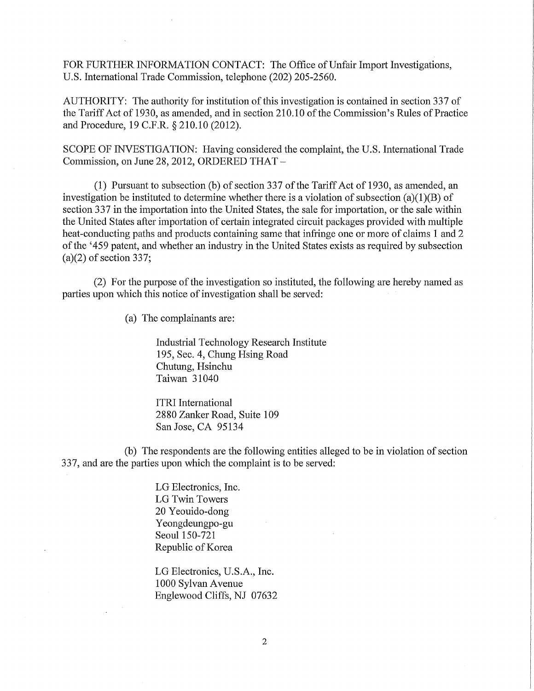FOR FURTHER INFORMATION CONTACT: The Office of Unfair Import Investigations, U.S. International Trade Commission, telephone (202) 205-2560.

AUTHORITY: The authority for institution of this investigation is contained in section 337 of the Tariff Act of 1930, as amended, and in section 210.10 of the Commission's Rules of Practice and Procedure, 19 C.F.R. § 210.10 (2012).

SCOPE OF INVESTIGATION: Having considered the complaint, the U.S. International Trade Commission, on June 28, 2012, ORDERED THAT -

(1) Pursuant to subsection (b) of section 337 of the Tariff Act of 1930, as amended, an investigation be instituted to determine whether there is a violation of subsection (a)(1)(B) of section 337 in the importation into the United States, the sale for importation, or the sale within the United States after importation of certain integrated circuit packages provided with multiple heat-conducting paths and products containing same that infringe one or more of claims 1 and 2 ofthe '459 patent, and whether an industry in the United States exists as required by subsection  $(a)(2)$  of section 337;

(2) For the purpose of the investigation so instituted, the following are hereby named as parties upon which this notice of investigation shall be served:

(a) The complainants are:

Industrial Technology Research Institute 195, Sec. 4, Chung Hsing Road Chutung, Hsinchu Taiwan 31040

ITRI International 2880 Zanker Road, Suite 109 San Jose, CA 95134

(b) The respondents are the following entities alleged to be in violation of section 337, and are the parties upon which the complaint is to be served:

> LG Electronics, Inc. LG Twin Towers 20 Yeouido-dong Yeongdeungpo-gu Seoul 150-721 Republic of Korea

LG Electronics, U.S.A., Inc. 1000 Sylvan Avenue Englewood Cliffs, NJ 07632